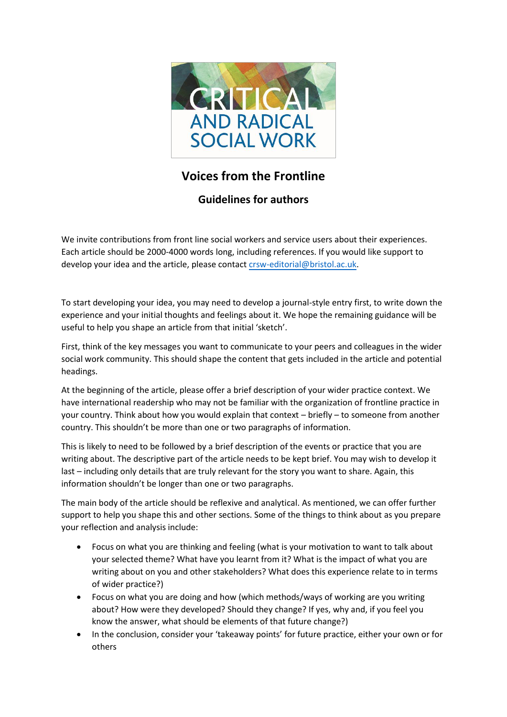

## **Voices from the Frontline**

## **Guidelines for authors**

We invite contributions from front line social workers and service users about their experiences. Each article should be 2000-4000 words long, including references. If you would like support to develop your idea and the article, please contact [crsw-editorial@bristol.ac.](mailto:kerry.cuskelly@gmail.com)[uk](mailto:crsw-editorial@bristol.ac.uk).

To start developing your idea, you may need to develop a journal-style entry first, to write down the experience and your initial thoughts and feelings about it. We hope the remaining guidance will be useful to help you shape an article from that initial 'sketch'.

First, think of the key messages you want to communicate to your peers and colleagues in the wider social work community. This should shape the content that gets included in the article and potential headings.

At the beginning of the article, please offer a brief description of your wider practice context. We have international readership who may not be familiar with the organization of frontline practice in your country. Think about how you would explain that context – briefly – to someone from another country. This shouldn't be more than one or two paragraphs of information.

This is likely to need to be followed by a brief description of the events or practice that you are writing about. The descriptive part of the article needs to be kept brief. You may wish to develop it last – including only details that are truly relevant for the story you want to share. Again, this information shouldn't be longer than one or two paragraphs.

The main body of the article should be reflexive and analytical. As mentioned, we can offer further support to help you shape this and other sections. Some of the things to think about as you prepare your reflection and analysis include:

- Focus on what you are thinking and feeling (what is your motivation to want to talk about your selected theme? What have you learnt from it? What is the impact of what you are writing about on you and other stakeholders? What does this experience relate to in terms of wider practice?)
- Focus on what you are doing and how (which methods/ways of working are you writing about? How were they developed? Should they change? If yes, why and, if you feel you know the answer, what should be elements of that future change?)
- In the conclusion, consider your 'takeaway points' for future practice, either your own or for others